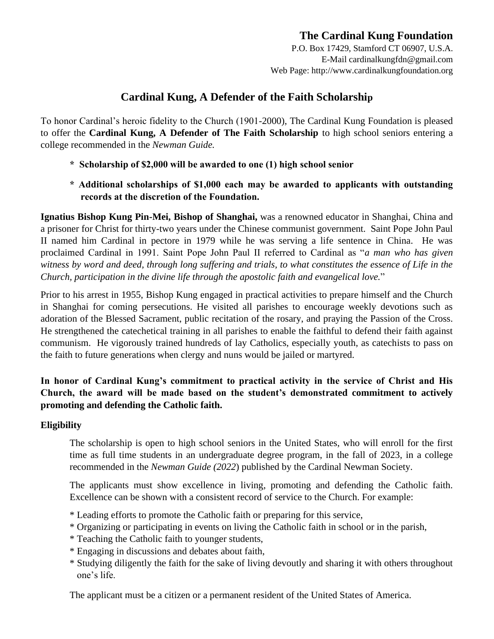# **The Cardinal Kung Foundation**

P.O. Box 17429, Stamford CT 06907, U.S.A. E-Mail cardinalkungfdn@gmail.com Web Page: http://www.cardinalkungfoundation.org

## **Cardinal Kung, A Defender of the Faith Scholarship**

To honor Cardinal's heroic fidelity to the Church (1901-2000), The Cardinal Kung Foundation is pleased to offer the **Cardinal Kung, A Defender of The Faith Scholarship** to high school seniors entering a college recommended in the *Newman Guide.* 

- **\* Scholarship of \$2,000 will be awarded to one (1) high school senior**
- **\* Additional scholarships of \$1,000 each may be awarded to applicants with outstanding records at the discretion of the Foundation.**

**Ignatius Bishop Kung Pin-Mei, Bishop of Shanghai,** was a renowned educator in Shanghai, China and a prisoner for Christ for thirty-two years under the Chinese communist government. Saint Pope John Paul II named him Cardinal in pectore in 1979 while he was serving a life sentence in China. He was proclaimed Cardinal in 1991. Saint Pope John Paul II referred to Cardinal as "*a man who has given witness by word and deed, through long suffering and trials, to what constitutes the essence of Life in the Church, participation in the divine life through the apostolic faith and evangelical love.*"

Prior to his arrest in 1955, Bishop Kung engaged in practical activities to prepare himself and the Church in Shanghai for coming persecutions. He visited all parishes to encourage weekly devotions such as adoration of the Blessed Sacrament, public recitation of the rosary, and praying the Passion of the Cross. He strengthened the catechetical training in all parishes to enable the faithful to defend their faith against communism. He vigorously trained hundreds of lay Catholics, especially youth, as catechists to pass on the faith to future generations when clergy and nuns would be jailed or martyred.

## **In honor of Cardinal Kung's commitment to practical activity in the service of Christ and His Church, the award will be made based on the student's demonstrated commitment to actively promoting and defending the Catholic faith.**

## **Eligibility**

The scholarship is open to high school seniors in the United States, who will enroll for the first time as full time students in an undergraduate degree program, in the fall of 2023, in a college recommended in the *Newman Guide (2022*) published by the Cardinal Newman Society.

The applicants must show excellence in living, promoting and defending the Catholic faith. Excellence can be shown with a consistent record of service to the Church. For example:

- \* Leading efforts to promote the Catholic faith or preparing for this service,
- \* Organizing or participating in events on living the Catholic faith in school or in the parish,
- \* Teaching the Catholic faith to younger students,
- \* Engaging in discussions and debates about faith,
- \* Studying diligently the faith for the sake of living devoutly and sharing it with others throughout one's life.

The applicant must be a citizen or a permanent resident of the United States of America.